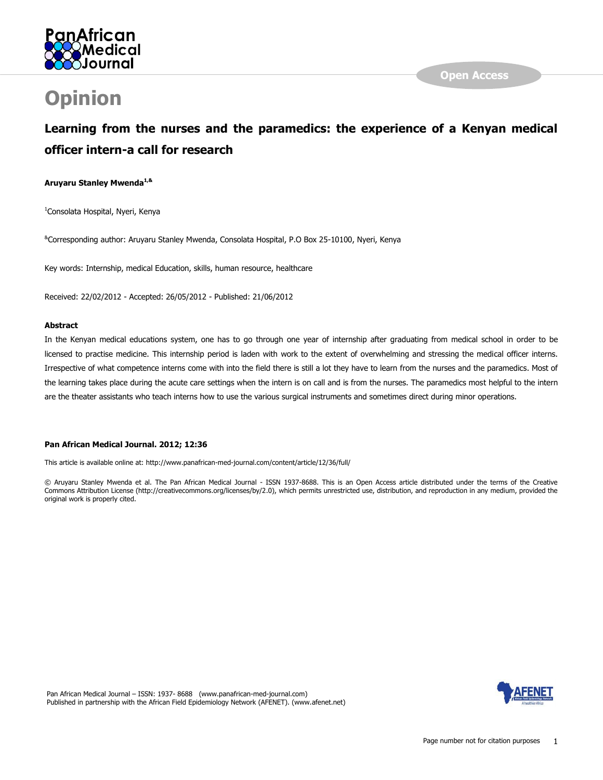

# **Opinion**

# **Learning from the nurses and the paramedics: the experience of a Kenyan medical officer intern-a call for research**

# **Aruyaru Stanley Mwenda1,&**

<sup>1</sup>Consolata Hospital, Nyeri, Kenya

&Corresponding author: Aruyaru Stanley Mwenda, Consolata Hospital, P.O Box 25-10100, Nyeri, Kenya

Key words: Internship, medical Education, skills, human resource, healthcare

Received: 22/02/2012 - Accepted: 26/05/2012 - Published: 21/06/2012

# **Abstract**

In the Kenyan medical educations system, one has to go through one year of internship after graduating from medical school in order to be licensed to practise medicine. This internship period is laden with work to the extent of overwhelming and stressing the medical officer interns. Irrespective of what competence interns come with into the field there is still a lot they have to learn from the nurses and the paramedics. Most of the learning takes place during the acute care settings when the intern is on call and is from the nurses. The paramedics most helpful to the intern are the theater assistants who teach interns how to use the various surgical instruments and sometimes direct during minor operations.

# **Pan African Medical Journal. 2012; 12:36**

This article is available online at: http://www.panafrican-med-journal.com/content/article/12/36/full/

© Aruyaru Stanley Mwenda et al. The Pan African Medical Journal - ISSN 1937-8688. This is an Open Access article distributed under the terms of the Creative Commons Attribution License (http://creativecommons.org/licenses/by/2.0), which permits unrestricted use, distribution, and reproduction in any medium, provided the original work is properly cited.

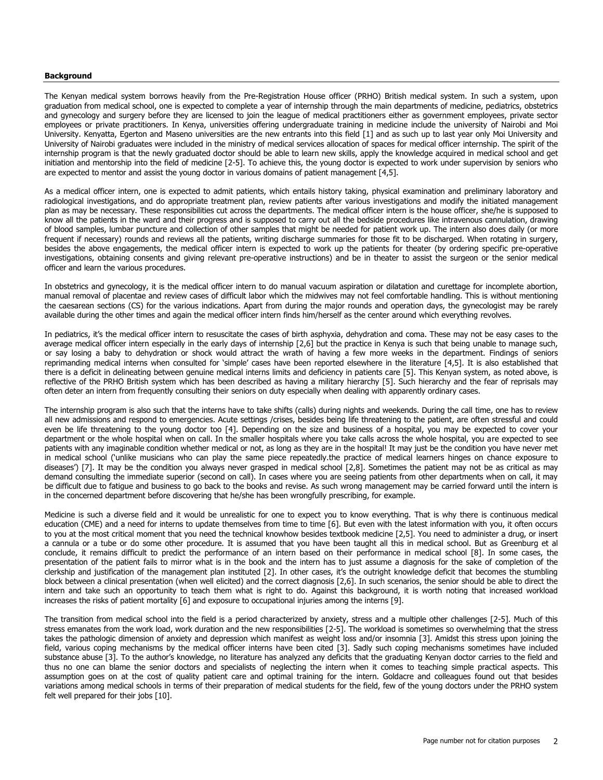#### **Background**

The Kenyan medical system borrows heavily from the Pre-Registration House officer (PRHO) British medical system. In such a system, upon graduation from medical school, one is expected to complete a year of internship through the main departments of medicine, pediatrics, obstetrics and gynecology and surgery before they are licensed to join the league of medical practitioners either as government employees, private sector employees or private practitioners. In Kenya, universities offering undergraduate training in medicine include the university of Nairobi and Moi University. Kenyatta, Egerton and Maseno universities are the new entrants into this field [\[1\]](#page-4-0) and as such up to last year only Moi University and University of Nairobi graduates were included in the ministry of medical services allocation of spaces for medical officer internship. The spirit of the internship program is that the newly graduated doctor should be able to learn new skills, apply the knowledge acquired in medical school and get initiation and mentorship into the field of medicine [\[2-5\]](#page-4-1). To achieve this, the young doctor is expected to work under supervision by seniors who are expected to mentor and assist the young doctor in various domains of patient management [\[4,](#page-5-0)[5\]](#page-5-1).

As a medical officer intern, one is expected to admit patients, which entails history taking, physical examination and preliminary laboratory and radiological investigations, and do appropriate treatment plan, review patients after various investigations and modify the initiated management plan as may be necessary. These responsibilities cut across the departments. The medical officer intern is the house officer, she/he is supposed to know all the patients in the ward and their progress and is supposed to carry out all the bedside procedures like intravenous cannulation, drawing of blood samples, lumbar puncture and collection of other samples that might be needed for patient work up. The intern also does daily (or more frequent if necessary) rounds and reviews all the patients, writing discharge summaries for those fit to be discharged. When rotating in surgery, besides the above engagements, the medical officer intern is expected to work up the patients for theater (by ordering specific pre-operative investigations, obtaining consents and giving relevant pre-operative instructions) and be in theater to assist the surgeon or the senior medical officer and learn the various procedures.

In obstetrics and gynecology, it is the medical officer intern to do manual vacuum aspiration or dilatation and curettage for incomplete abortion, manual removal of placentae and review cases of difficult labor which the midwives may not feel comfortable handling. This is without mentioning the caesarean sections (CS) for the various indications. Apart from during the major rounds and operation days, the gynecologist may be rarely available during the other times and again the medical officer intern finds him/herself as the center around which everything revolves.

In pediatrics, it's the medical officer intern to resuscitate the cases of birth asphyxia, dehydration and coma. These may not be easy cases to the average medical officer intern especially in the early days of internship [\[2,](#page-4-1)[6\]](#page-5-2) but the practice in Kenya is such that being unable to manage such, or say losing a baby to dehydration or shock would attract the wrath of having a few more weeks in the department. Findings of seniors reprimanding medical interns when consulted for "simple" cases have been reported elsewhere in the literature [[4](#page-5-0)[,5\]](#page-5-1). It is also established that there is a deficit in delineating between genuine medical interns limits and deficiency in patients care [\[5\]](#page-5-1). This Kenyan system, as noted above, is reflective of the PRHO British system which has been described as having a military hierarchy [\[5\]](#page-5-1). Such hierarchy and the fear of reprisals may often deter an intern from frequently consulting their seniors on duty especially when dealing with apparently ordinary cases.

The internship program is also such that the interns have to take shifts (calls) during nights and weekends. During the call time, one has to review all new admissions and respond to emergencies. Acute settings /crises, besides being life threatening to the patient, are often stressful and could even be life threatening to the young doctor too [\[4\]](#page-5-0). Depending on the size and business of a hospital, you may be expected to cover your department or the whole hospital when on call. In the smaller hospitals where you take calls across the whole hospital, you are expected to see patients with any imaginable condition whether medical or not, as long as they are in the hospital! It may just be the condition you have never met in medical school ("unlike musicians who can play the same piece repeatedly.the practice of medical learners hinges on chance exposure to diseases') [[7\]](#page-5-3). It may be the condition you always never grasped in medical school [\[2](#page-4-1)[,8\]](#page-5-4). Sometimes the patient may not be as critical as may demand consulting the immediate superior (second on call). In cases where you are seeing patients from other departments when on call, it may be difficult due to fatigue and business to go back to the books and revise. As such wrong management may be carried forward until the intern is in the concerned department before discovering that he/she has been wrongfully prescribing, for example.

Medicine is such a diverse field and it would be unrealistic for one to expect you to know everything. That is why there is continuous medical education (CME) and a need for interns to update themselves from time to time [\[6\]](#page-5-2). But even with the latest information with you, it often occurs to you at the most critical moment that you need the technical knowhow besides textbook medicine [\[2,](#page-4-1)[5\]](#page-5-1). You need to administer a drug, or insert a cannula or a tube or do some other procedure. It is assumed that you have been taught all this in medical school. But as Greenburg et al conclude, it remains difficult to predict the performance of an intern based on their performance in medical school [\[8\]](#page-5-4). In some cases, the presentation of the patient fails to mirror what is in the book and the intern has to just assume a diagnosis for the sake of completion of the clerkship and justification of the management plan instituted [\[2](#page-4-1)]. In other cases, it"s the outright knowledge deficit that becomes the stumbling block between a clinical presentation (when well elicited) and the correct diagnosis [\[2,](#page-4-1)[6\]](#page-5-2). In such scenarios, the senior should be able to direct the intern and take such an opportunity to teach them what is right to do. Against this background, it is worth noting that increased workload increases the risks of patient mortality [\[6\]](#page-5-2) and exposure to occupational injuries among the interns [\[9\]](#page-5-5).

The transition from medical school into the field is a period characterized by anxiety, stress and a multiple other challenges [\[2-5\]](#page-4-1). Much of this stress emanates from the work load, work duration and the new responsibilities [\[2-5\]](#page-4-1). The workload is sometimes so overwhelming that the stress takes the pathologic dimension of anxiety and depression which manifest as weight loss and/or insomnia [\[3\]](#page-4-2). Amidst this stress upon joining the field, various coping mechanisms by the medical officer interns have been cited [\[3\]](#page-4-2). Sadly such coping mechanisms sometimes have included substance abuse [\[3](#page-4-2)]. To the author"s knowledge, no literature has analyzed any deficits that the graduating Kenyan doctor carries to the field and thus no one can blame the senior doctors and specialists of neglecting the intern when it comes to teaching simple practical aspects. This assumption goes on at the cost of quality patient care and optimal training for the intern. Goldacre and colleagues found out that besides variations among medical schools in terms of their preparation of medical students for the field, few of the young doctors under the PRHO system felt well prepared for their jobs [\[10\]](#page-5-6).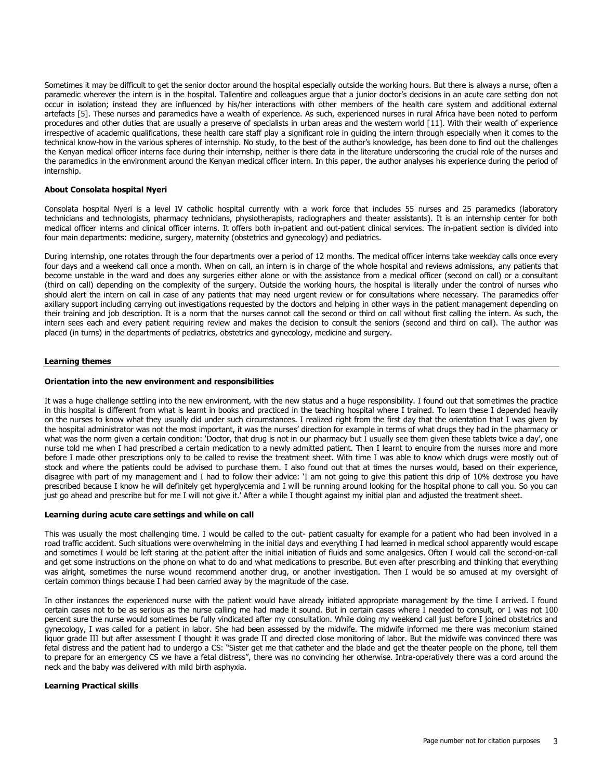Sometimes it may be difficult to get the senior doctor around the hospital especially outside the working hours. But there is always a nurse, often a paramedic wherever the intern is in the hospital. Tallentire and colleagues argue that a junior doctor's decisions in an acute care setting don not occur in isolation; instead they are influenced by his/her interactions with other members of the health care system and additional external artefacts [\[5\]](#page-5-1). These nurses and paramedics have a wealth of experience. As such, experienced nurses in rural Africa have been noted to perform procedures and other duties that are usually a preserve of specialists in urban areas and the western world [\[11\]](#page-5-7). With their wealth of experience irrespective of academic qualifications, these health care staff play a significant role in guiding the intern through especially when it comes to the technical know-how in the various spheres of internship. No study, to the best of the author"s knowledge, has been done to find out the challenges the Kenyan medical officer interns face during their internship, neither is there data in the literature underscoring the crucial role of the nurses and the paramedics in the environment around the Kenyan medical officer intern. In this paper, the author analyses his experience during the period of internship.

# **About Consolata hospital Nyeri**

Consolata hospital Nyeri is a level IV catholic hospital currently with a work force that includes 55 nurses and 25 paramedics (laboratory technicians and technologists, pharmacy technicians, physiotherapists, radiographers and theater assistants). It is an internship center for both medical officer interns and clinical officer interns. It offers both in-patient and out-patient clinical services. The in-patient section is divided into four main departments: medicine, surgery, maternity (obstetrics and gynecology) and pediatrics.

During internship, one rotates through the four departments over a period of 12 months. The medical officer interns take weekday calls once every four days and a weekend call once a month. When on call, an intern is in charge of the whole hospital and reviews admissions, any patients that become unstable in the ward and does any surgeries either alone or with the assistance from a medical officer (second on call) or a consultant (third on call) depending on the complexity of the surgery. Outside the working hours, the hospital is literally under the control of nurses who should alert the intern on call in case of any patients that may need urgent review or for consultations where necessary. The paramedics offer axillary support including carrying out investigations requested by the doctors and helping in other ways in the patient management depending on their training and job description. It is a norm that the nurses cannot call the second or third on call without first calling the intern. As such, the intern sees each and every patient requiring review and makes the decision to consult the seniors (second and third on call). The author was placed (in turns) in the departments of pediatrics, obstetrics and gynecology, medicine and surgery.

#### **Learning themes**

#### **Orientation into the new environment and responsibilities**

It was a huge challenge settling into the new environment, with the new status and a huge responsibility. I found out that sometimes the practice in this hospital is different from what is learnt in books and practiced in the teaching hospital where I trained. To learn these I depended heavily on the nurses to know what they usually did under such circumstances. I realized right from the first day that the orientation that I was given by the hospital administrator was not the most important, it was the nurses" direction for example in terms of what drugs they had in the pharmacy or what was the norm given a certain condition: "Doctor, that drug is not in our pharmacy but I usually see them given these tablets twice a day", one nurse told me when I had prescribed a certain medication to a newly admitted patient. Then I learnt to enquire from the nurses more and more before I made other prescriptions only to be called to revise the treatment sheet. With time I was able to know which drugs were mostly out of stock and where the patients could be advised to purchase them. I also found out that at times the nurses would, based on their experience, disagree with part of my management and I had to follow their advice: "I am not going to give this patient this drip of 10% dextrose you have prescribed because I know he will definitely get hyperglycemia and I will be running around looking for the hospital phone to call you. So you can just go ahead and prescribe but for me I will not give it." After a while I thought against my initial plan and adjusted the treatment sheet.

# **Learning during acute care settings and while on call**

This was usually the most challenging time. I would be called to the out- patient casualty for example for a patient who had been involved in a road traffic accident. Such situations were overwhelming in the initial days and everything I had learned in medical school apparently would escape and sometimes I would be left staring at the patient after the initial initiation of fluids and some analgesics. Often I would call the second-on-call and get some instructions on the phone on what to do and what medications to prescribe. But even after prescribing and thinking that everything was alright, sometimes the nurse wound recommend another drug, or another investigation. Then I would be so amused at my oversight of certain common things because I had been carried away by the magnitude of the case.

In other instances the experienced nurse with the patient would have already initiated appropriate management by the time I arrived. I found certain cases not to be as serious as the nurse calling me had made it sound. But in certain cases where I needed to consult, or I was not 100 percent sure the nurse would sometimes be fully vindicated after my consultation. While doing my weekend call just before I joined obstetrics and gynecology, I was called for a patient in labor. She had been assessed by the midwife. The midwife informed me there was meconium stained liquor grade III but after assessment I thought it was grade II and directed close monitoring of labor. But the midwife was convinced there was fetal distress and the patient had to undergo a CS: "Sister get me that catheter and the blade and get the theater people on the phone, tell them to prepare for an emergency CS we have a fetal distress", there was no convincing her otherwise. Intra-operatively there was a cord around the neck and the baby was delivered with mild birth asphyxia.

# **Learning Practical skills**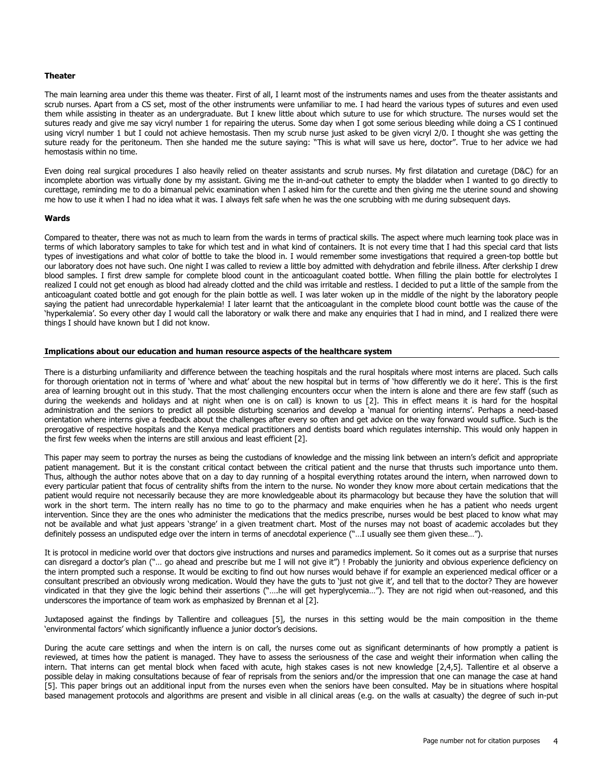#### **Theater**

The main learning area under this theme was theater. First of all, I learnt most of the instruments names and uses from the theater assistants and scrub nurses. Apart from a CS set, most of the other instruments were unfamiliar to me. I had heard the various types of sutures and even used them while assisting in theater as an undergraduate. But I knew little about which suture to use for which structure. The nurses would set the sutures ready and give me say vicryl number 1 for repairing the uterus. Some day when I got some serious bleeding while doing a CS I continued using vicryl number 1 but I could not achieve hemostasis. Then my scrub nurse just asked to be given vicryl 2/0. I thought she was getting the suture ready for the peritoneum. Then she handed me the suture saying: "This is what will save us here, doctor". True to her advice we had hemostasis within no time.

Even doing real surgical procedures I also heavily relied on theater assistants and scrub nurses. My first dilatation and curetage (D&C) for an incomplete abortion was virtually done by my assistant. Giving me the in-and-out catheter to empty the bladder when I wanted to go directly to curettage, reminding me to do a bimanual pelvic examination when I asked him for the curette and then giving me the uterine sound and showing me how to use it when I had no idea what it was. I always felt safe when he was the one scrubbing with me during subsequent days.

#### **Wards**

Compared to theater, there was not as much to learn from the wards in terms of practical skills. The aspect where much learning took place was in terms of which laboratory samples to take for which test and in what kind of containers. It is not every time that I had this special card that lists types of investigations and what color of bottle to take the blood in. I would remember some investigations that required a green-top bottle but our laboratory does not have such. One night I was called to review a little boy admitted with dehydration and febrile illness. After clerkship I drew blood samples. I first drew sample for complete blood count in the anticoagulant coated bottle. When filling the plain bottle for electrolytes I realized I could not get enough as blood had already clotted and the child was irritable and restless. I decided to put a little of the sample from the anticoagulant coated bottle and got enough for the plain bottle as well. I was later woken up in the middle of the night by the laboratory people saying the patient had unrecordable hyperkalemia! I later learnt that the anticoagulant in the complete blood count bottle was the cause of the "hyperkalemia". So every other day I would call the laboratory or walk there and make any enquiries that I had in mind, and I realized there were things I should have known but I did not know.

#### **Implications about our education and human resource aspects of the healthcare system**

There is a disturbing unfamiliarity and difference between the teaching hospitals and the rural hospitals where most interns are placed. Such calls for thorough orientation not in terms of "where and what" about the new hospital but in terms of "how differently we do it here". This is the first area of learning brought out in this study. That the most challenging encounters occur when the intern is alone and there are few staff (such as during the weekends and holidays and at night when one is on call) is known to us [\[2\]](#page-4-1). This in effect means it is hard for the hospital administration and the seniors to predict all possible disturbing scenarios and develop a "manual for orienting interns". Perhaps a need-based orientation where interns give a feedback about the challenges after every so often and get advice on the way forward would suffice. Such is the prerogative of respective hospitals and the Kenya medical practitioners and dentists board which regulates internship. This would only happen in the first few weeks when the interns are still anxious and least efficient [\[2\]](#page-4-1).

This paper may seem to portray the nurses as being the custodians of knowledge and the missing link between an intern"s deficit and appropriate patient management. But it is the constant critical contact between the critical patient and the nurse that thrusts such importance unto them. Thus, although the author notes above that on a day to day running of a hospital everything rotates around the intern, when narrowed down to every particular patient that focus of centrality shifts from the intern to the nurse. No wonder they know more about certain medications that the patient would require not necessarily because they are more knowledgeable about its pharmacology but because they have the solution that will work in the short term. The intern really has no time to go to the pharmacy and make enquiries when he has a patient who needs urgent intervention. Since they are the ones who administer the medications that the medics prescribe, nurses would be best placed to know what may not be available and what just appears "strange" in a given treatment chart. Most of the nurses may not boast of academic accolades but they definitely possess an undisputed edge over the intern in terms of anecdotal experience ("…I usually see them given these…").

It is protocol in medicine world over that doctors give instructions and nurses and paramedics implement. So it comes out as a surprise that nurses can disregard a doctor"s plan ("… go ahead and prescribe but me I will not give it") ! Probably the juniority and obvious experience deficiency on the intern prompted such a response. It would be exciting to find out how nurses would behave if for example an experienced medical officer or a consultant prescribed an obviously wrong medication. Would they have the guts to "just not give it", and tell that to the doctor? They are however vindicated in that they give the logic behind their assertions ("….he will get hyperglycemia…"). They are not rigid when out-reasoned, and this underscores the importance of team work as emphasized by Brennan et al [\[2\]](#page-4-1).

Juxtaposed against the findings by Tallentire and colleagues [\[5\]](#page-5-1), the nurses in this setting would be the main composition in the theme 'environmental factors' which significantly influence a junior doctor's decisions.

During the acute care settings and when the intern is on call, the nurses come out as significant determinants of how promptly a patient is reviewed, at times how the patient is managed. They have to assess the seriousness of the case and weight their information when calling the intern. That interns can get mental block when faced with acute, high stakes cases is not new knowledge [\[2](#page-4-1)[,4](#page-5-0)[,5\]](#page-5-1). Tallentire et al observe a possible delay in making consultations because of fear of reprisals from the seniors and/or the impression that one can manage the case at hand [\[5\]](#page-5-1). This paper brings out an additional input from the nurses even when the seniors have been consulted. May be in situations where hospital based management protocols and algorithms are present and visible in all clinical areas (e.g. on the walls at casualty) the degree of such in-put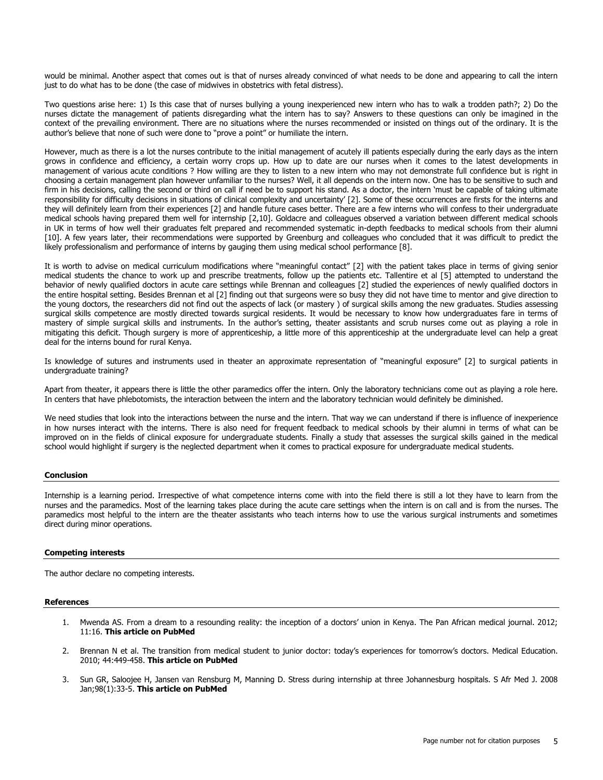would be minimal. Another aspect that comes out is that of nurses already convinced of what needs to be done and appearing to call the intern just to do what has to be done (the case of midwives in obstetrics with fetal distress).

Two questions arise here: 1) Is this case that of nurses bullying a young inexperienced new intern who has to walk a trodden path?; 2) Do the nurses dictate the management of patients disregarding what the intern has to say? Answers to these questions can only be imagined in the context of the prevailing environment. There are no situations where the nurses recommended or insisted on things out of the ordinary. It is the author"s believe that none of such were done to "prove a point" or humiliate the intern.

However, much as there is a lot the nurses contribute to the initial management of acutely ill patients especially during the early days as the intern grows in confidence and efficiency, a certain worry crops up. How up to date are our nurses when it comes to the latest developments in management of various acute conditions ? How willing are they to listen to a new intern who may not demonstrate full confidence but is right in choosing a certain management plan however unfamiliar to the nurses? Well, it all depends on the intern now. One has to be sensitive to such and firm in his decisions, calling the second or third on call if need be to support his stand. As a doctor, the intern "must be capable of taking ultimate responsibility for difficulty decisions in situations of clinical complexity and uncertainty' [[2\]](#page-4-1). Some of these occurrences are firsts for the interns and they will definitely learn from their experiences [\[2\]](#page-4-1) and handle future cases better. There are a few interns who will confess to their undergraduate medical schools having prepared them well for internship [\[2,](#page-4-1)[10\]](#page-5-6). Goldacre and colleagues observed a variation between different medical schools in UK in terms of how well their graduates felt prepared and recommended systematic in-depth feedbacks to medical schools from their alumni [\[10\]](#page-5-6). A few years later, their recommendations were supported by Greenburg and colleagues who concluded that it was difficult to predict the likely professionalism and performance of interns by gauging them using medical school performance [\[8\]](#page-5-4).

It is worth to advise on medical curriculum modifications where "meaningful contact" [[2\]](#page-4-1) with the patient takes place in terms of giving senior medical students the chance to work up and prescribe treatments, follow up the patients etc. Tallentire et al [\[5\]](#page-5-1) attempted to understand the behavior of newly qualified doctors in acute care settings while Brennan and colleagues [\[2\]](#page-4-1) studied the experiences of newly qualified doctors in the entire hospital setting. Besides Brennan et al [\[2\]](#page-4-1) finding out that surgeons were so busy they did not have time to mentor and give direction to the young doctors, the researchers did not find out the aspects of lack (or mastery ) of surgical skills among the new graduates. Studies assessing surgical skills competence are mostly directed towards surgical residents. It would be necessary to know how undergraduates fare in terms of mastery of simple surgical skills and instruments. In the author's setting, theater assistants and scrub nurses come out as playing a role in mitigating this deficit. Though surgery is more of apprenticeship, a little more of this apprenticeship at the undergraduate level can help a great deal for the interns bound for rural Kenya.

Is knowledge of sutures and instruments used in theater an approximate representation of "meaningful exposure" [[2\]](#page-4-1) to surgical patients in undergraduate training?

Apart from theater, it appears there is little the other paramedics offer the intern. Only the laboratory technicians come out as playing a role here. In centers that have phlebotomists, the interaction between the intern and the laboratory technician would definitely be diminished.

We need studies that look into the interactions between the nurse and the intern. That way we can understand if there is influence of inexperience in how nurses interact with the interns. There is also need for frequent feedback to medical schools by their alumni in terms of what can be improved on in the fields of clinical exposure for undergraduate students. Finally a study that assesses the surgical skills gained in the medical school would highlight if surgery is the neglected department when it comes to practical exposure for undergraduate medical students.

# **Conclusion**

Internship is a learning period. Irrespective of what competence interns come with into the field there is still a lot they have to learn from the nurses and the paramedics. Most of the learning takes place during the acute care settings when the intern is on call and is from the nurses. The paramedics most helpful to the intern are the theater assistants who teach interns how to use the various surgical instruments and sometimes direct during minor operations.

#### **Competing interests**

The author declare no competing interests.

#### <span id="page-4-0"></span>**References**

- 1. Mwenda AS. From a dream to a resounding reality: the inception of a doctors" union in Kenya. The Pan African medical journal. 2012; 11:16. **[This article on PubMed](http://www.ncbi.nlm.nih.gov/pubmed/22368759)**
- <span id="page-4-1"></span>2. Brennan N et al. The transition from medical student to junior doctor: today's experiences for tomorrow's doctors. Medical Education. 2010; 44:449-458. **[This article on PubMed](http://www.ncbi.nlm.nih.gov/pubmed/20518984)**
- <span id="page-4-2"></span>3. Sun GR, Saloojee H, Jansen van Rensburg M, Manning D. Stress during internship at three Johannesburg hospitals. S Afr Med J. 2008 Jan;98(1):33-5. **[This article on PubMed](http://www.ncbi.nlm.nih.gov/pubmed/18270638)**